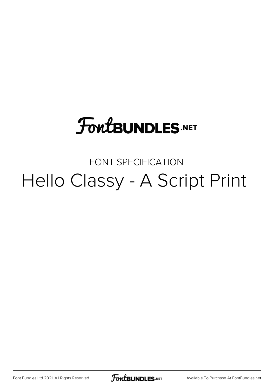# **FoutBUNDLES.NET**

## FONT SPECIFICATION Hello Classy - A Script Print

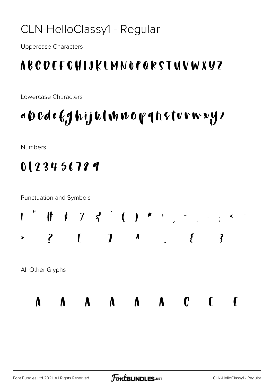#### CLN-HelloClassy1 - Regular

**Uppercase Characters** 

### ABCDEFGHIJKIMNÓPQRSTUVWXYZ

Lowercase Characters

# a 6 Cde (ghijk Innorghsturwyz

Numbers

### 0123456789

**Punctuation and Symbols** 

All Other Glyphs

 $\mathbf{A}$ 

 $\mathbf{A}$ 



A A A A C F F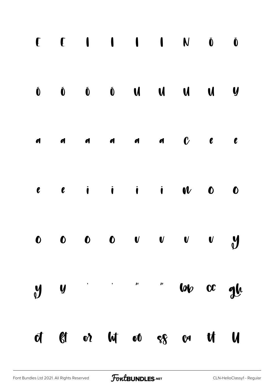|  |  |  | $\begin{matrix} \mathbf{0} & \mathbf{0} & \mathbf{0} & \mathbf{0} & \mathbf{0} & \mathbf{0} & \mathbf{0} & \mathbf{0} & \mathbf{0} & \mathbf{0} & \mathbf{0} & \mathbf{0} & \mathbf{0} & \mathbf{0} & \mathbf{0} & \mathbf{0} & \mathbf{0} & \mathbf{0} & \mathbf{0} & \mathbf{0} & \mathbf{0} & \mathbf{0} & \mathbf{0} & \mathbf{0} & \mathbf{0} & \mathbf{0} & \mathbf{0} & \mathbf{0} & \mathbf{0} & \mathbf{0} & \mathbf{0$ |  |
|--|--|--|----------------------------------------------------------------------------------------------------------------------------------------------------------------------------------------------------------------------------------------------------------------------------------------------------------------------------------------------------------------------------------------------------------------------------------|--|
|  |  |  | $\begin{array}{ccccccccccccccccccccc} & a & & a & & a & & a & & b & & c & & c & & c & & \end{array}$                                                                                                                                                                                                                                                                                                                             |  |
|  |  |  | $e$ $e$ i i i $u$ 0 0                                                                                                                                                                                                                                                                                                                                                                                                            |  |
|  |  |  |                                                                                                                                                                                                                                                                                                                                                                                                                                  |  |
|  |  |  | $y$ y $'$ " w $\infty$ gle                                                                                                                                                                                                                                                                                                                                                                                                       |  |
|  |  |  | of gt or lot or age and the la                                                                                                                                                                                                                                                                                                                                                                                                   |  |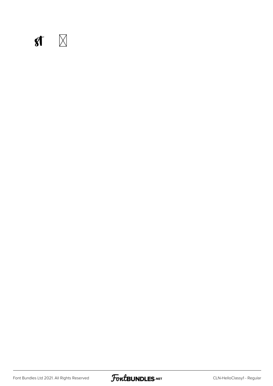

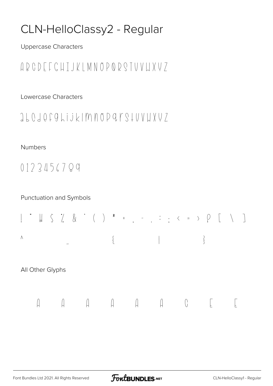### CLN-HelloClassy2 - Regular

**Uppercase Characters** 

#### GRODFFCHTJKIMNOPORQTUVLIXV7

Lowercase Characters

#### ILOJQF GLIJKIM NODQ I S I U V W X Y Z

#### **Numbers**

 $0123456709$ 

#### **Punctuation and Symbols**

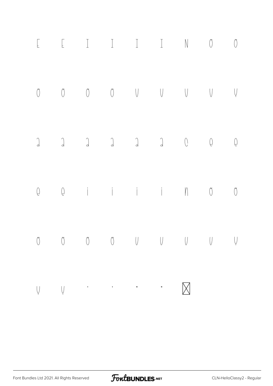| $\sqrt{2}$ |  |                                                                                                                    |  |                                                                                                                                                                                                                                                                                                                                                                                                                                                                                      |  |
|------------|--|--------------------------------------------------------------------------------------------------------------------|--|--------------------------------------------------------------------------------------------------------------------------------------------------------------------------------------------------------------------------------------------------------------------------------------------------------------------------------------------------------------------------------------------------------------------------------------------------------------------------------------|--|
|            |  |                                                                                                                    |  | $\begin{matrix} 0 & 0 & 0 & 0 & \end{matrix} \qquad \begin{matrix} 0 & 0 & 0 & \end{matrix} \qquad \begin{matrix} 0 & 0 & 0 & \end{matrix} \qquad \begin{matrix} 0 & 0 & 0 & \end{matrix} \qquad \begin{matrix} 0 & 0 & 0 & \end{matrix} \qquad \begin{matrix} 0 & 0 & 0 & \end{matrix} \qquad \begin{matrix} 0 & 0 & 0 & \end{matrix} \qquad \begin{matrix} 0 & 0 & 0 & \end{matrix} \qquad \begin{matrix} 0 & 0 & 0 & \end{matrix} \qquad \begin{matrix} 0 & 0 & 0 & \end{matrix}$ |  |
|            |  |                                                                                                                    |  |                                                                                                                                                                                                                                                                                                                                                                                                                                                                                      |  |
|            |  |                                                                                                                    |  | $\begin{matrix} 0 & 0 & i & i & i & i & m & 0 & 0 \end{matrix}$                                                                                                                                                                                                                                                                                                                                                                                                                      |  |
| $\bigcirc$ |  |                                                                                                                    |  |                                                                                                                                                                                                                                                                                                                                                                                                                                                                                      |  |
|            |  | $\bigvee_{\mathcal{C}}\mathcal{C}^{(n)}\otimes\cdots\otimes\mathcal{C}^{(n)}\otimes\cdots\otimes\mathcal{C}^{(n)}$ |  |                                                                                                                                                                                                                                                                                                                                                                                                                                                                                      |  |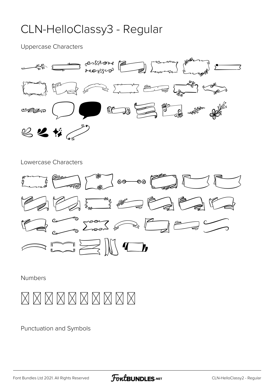#### CLN-HelloClassy3 - Regular

Uppercase Characters



#### Lowercase Characters



Numbers



Punctuation and Symbols

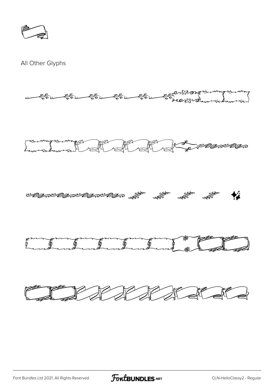All Other Glyphs



FontBUNDLES.NET